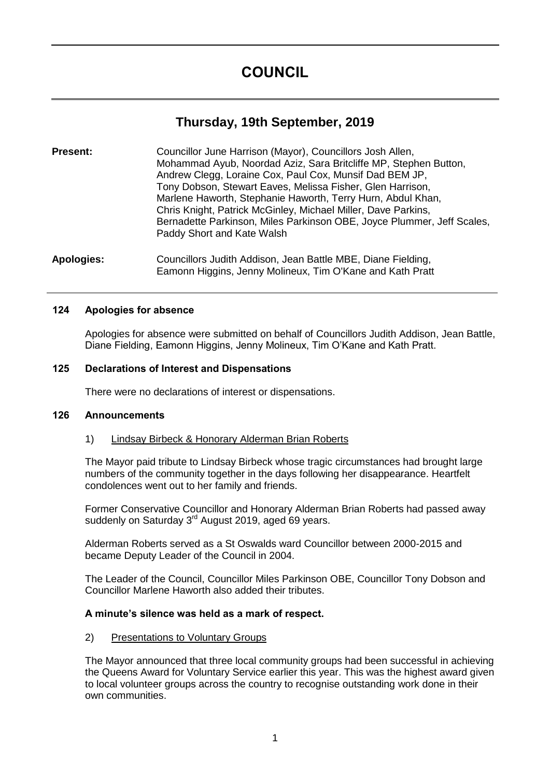# **Thursday, 19th September, 2019**

**Present:** Councillor June Harrison (Mayor), Councillors Josh Allen, Mohammad Ayub, Noordad Aziz, Sara Britcliffe MP, Stephen Button, Andrew Clegg, Loraine Cox, Paul Cox, Munsif Dad BEM JP, Tony Dobson, Stewart Eaves, Melissa Fisher, Glen Harrison, Marlene Haworth, Stephanie Haworth, Terry Hurn, Abdul Khan, Chris Knight, Patrick McGinley, Michael Miller, Dave Parkins, Bernadette Parkinson, Miles Parkinson OBE, Joyce Plummer, Jeff Scales, Paddy Short and Kate Walsh

**Apologies:** Councillors Judith Addison, Jean Battle MBE, Diane Fielding, Eamonn Higgins, Jenny Molineux, Tim O'Kane and Kath Pratt

#### **124 Apologies for absence**

Apologies for absence were submitted on behalf of Councillors Judith Addison, Jean Battle, Diane Fielding, Eamonn Higgins, Jenny Molineux, Tim O'Kane and Kath Pratt.

# **125 Declarations of Interest and Dispensations**

There were no declarations of interest or dispensations.

# **126 Announcements**

# 1) Lindsay Birbeck & Honorary Alderman Brian Roberts

The Mayor paid tribute to Lindsay Birbeck whose tragic circumstances had brought large numbers of the community together in the days following her disappearance. Heartfelt condolences went out to her family and friends.

Former Conservative Councillor and Honorary Alderman Brian Roberts had passed away suddenly on Saturday 3<sup>rd</sup> August 2019, aged 69 years.

Alderman Roberts served as a St Oswalds ward Councillor between 2000-2015 and became Deputy Leader of the Council in 2004.

The Leader of the Council, Councillor Miles Parkinson OBE, Councillor Tony Dobson and Councillor Marlene Haworth also added their tributes.

# **A minute's silence was held as a mark of respect.**

#### 2) Presentations to Voluntary Groups

The Mayor announced that three local community groups had been successful in achieving the Queens Award for Voluntary Service earlier this year. This was the highest award given to local volunteer groups across the country to recognise outstanding work done in their own communities.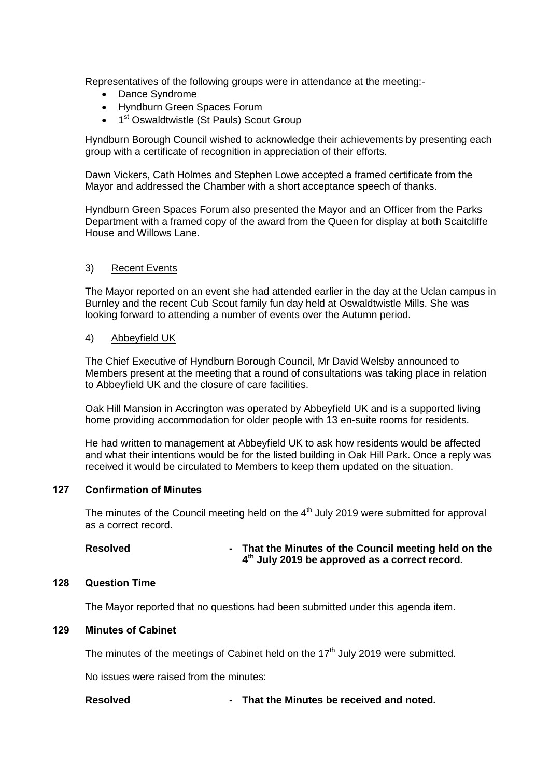Representatives of the following groups were in attendance at the meeting:-

- Dance Syndrome
- Hyndburn Green Spaces Forum
- 1<sup>st</sup> Oswaldtwistle (St Pauls) Scout Group

Hyndburn Borough Council wished to acknowledge their achievements by presenting each group with a certificate of recognition in appreciation of their efforts.

Dawn Vickers, Cath Holmes and Stephen Lowe accepted a framed certificate from the Mayor and addressed the Chamber with a short acceptance speech of thanks.

Hyndburn Green Spaces Forum also presented the Mayor and an Officer from the Parks Department with a framed copy of the award from the Queen for display at both Scaitcliffe House and Willows Lane.

#### 3) Recent Events

The Mayor reported on an event she had attended earlier in the day at the Uclan campus in Burnley and the recent Cub Scout family fun day held at Oswaldtwistle Mills. She was looking forward to attending a number of events over the Autumn period.

#### 4) Abbeyfield UK

The Chief Executive of Hyndburn Borough Council, Mr David Welsby announced to Members present at the meeting that a round of consultations was taking place in relation to Abbeyfield UK and the closure of care facilities.

Oak Hill Mansion in Accrington was operated by Abbeyfield UK and is a supported living home providing accommodation for older people with 13 en-suite rooms for residents.

He had written to management at Abbeyfield UK to ask how residents would be affected and what their intentions would be for the listed building in Oak Hill Park. Once a reply was received it would be circulated to Members to keep them updated on the situation.

#### **127 Confirmation of Minutes**

The minutes of the Council meeting held on the  $4<sup>th</sup>$  July 2019 were submitted for approval as a correct record.

**Resolved - That the Minutes of the Council meeting held on the 4 th July 2019 be approved as a correct record.**

#### **128 Question Time**

The Mayor reported that no questions had been submitted under this agenda item.

#### **129 Minutes of Cabinet**

The minutes of the meetings of Cabinet held on the  $17<sup>th</sup>$  July 2019 were submitted.

No issues were raised from the minutes:

**Resolved - That the Minutes be received and noted.**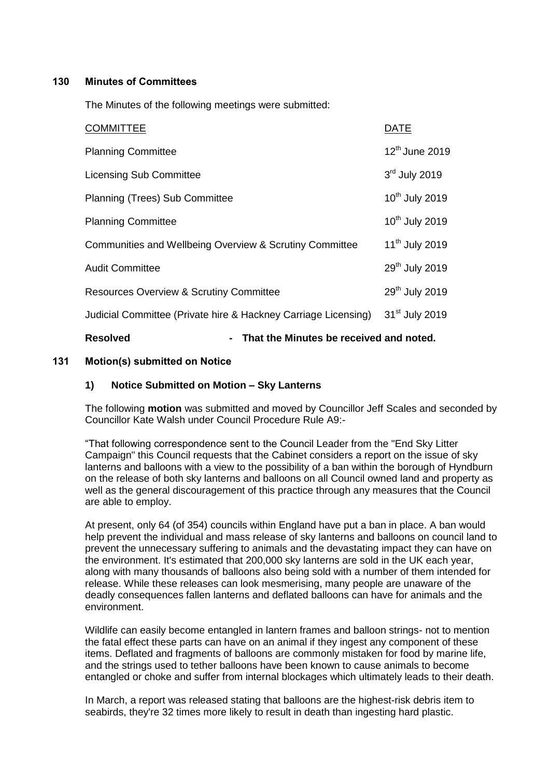# **130 Minutes of Committees**

The Minutes of the following meetings were submitted:

| - That the Minutes be received and noted.<br><b>Resolved</b>   |  |                            |
|----------------------------------------------------------------|--|----------------------------|
| Judicial Committee (Private hire & Hackney Carriage Licensing) |  | 31 <sup>st</sup> July 2019 |
| <b>Resources Overview &amp; Scrutiny Committee</b>             |  | 29 <sup>th</sup> July 2019 |
| <b>Audit Committee</b>                                         |  | 29 <sup>th</sup> July 2019 |
| Communities and Wellbeing Overview & Scrutiny Committee        |  | 11 <sup>th</sup> July 2019 |
| <b>Planning Committee</b>                                      |  | 10 <sup>th</sup> July 2019 |
| Planning (Trees) Sub Committee                                 |  | 10 <sup>th</sup> July 2019 |
| <b>Licensing Sub Committee</b>                                 |  | 3rd July 2019              |
| <b>Planning Committee</b>                                      |  | 12 <sup>th</sup> June 2019 |
| <b>COMMITTEE</b>                                               |  | <b>DATE</b>                |

# **131 Motion(s) submitted on Notice**

#### **1) Notice Submitted on Motion – Sky Lanterns**

The following **motion** was submitted and moved by Councillor Jeff Scales and seconded by Councillor Kate Walsh under Council Procedure Rule A9:-

"That following correspondence sent to the Council Leader from the "End Sky Litter Campaign" this Council requests that the Cabinet considers a report on the issue of sky lanterns and balloons with a view to the possibility of a ban within the borough of Hyndburn on the release of both sky lanterns and balloons on all Council owned land and property as well as the general discouragement of this practice through any measures that the Council are able to employ.

At present, only 64 (of 354) councils within England have put a ban in place. A ban would help prevent the individual and mass release of sky lanterns and balloons on council land to prevent the unnecessary suffering to animals and the devastating impact they can have on the environment. It's estimated that 200,000 sky lanterns are sold in the UK each year, along with many thousands of balloons also being sold with a number of them intended for release. While these releases can look mesmerising, many people are unaware of the deadly consequences fallen lanterns and deflated balloons can have for animals and the environment.

Wildlife can easily become entangled in lantern frames and balloon strings- not to mention the fatal effect these parts can have on an animal if they ingest any component of these items. Deflated and fragments of balloons are commonly mistaken for food by marine life, and the strings used to tether balloons have been known to cause animals to become entangled or choke and suffer from internal blockages which ultimately leads to their death.

In March, a report was released stating that balloons are the highest-risk debris item to seabirds, they're 32 times more likely to result in death than ingesting hard plastic.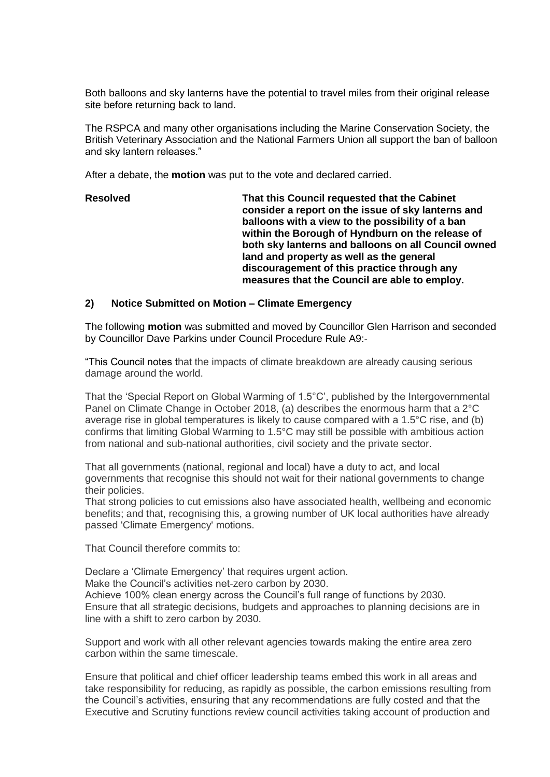Both balloons and sky lanterns have the potential to travel miles from their original release site before returning back to land.

The RSPCA and many other organisations including the Marine Conservation Society, the British Veterinary Association and the National Farmers Union all support the ban of balloon and sky lantern releases."

After a debate, the **motion** was put to the vote and declared carried.

#### **Resolved That this Council requested that the Cabinet consider a report on the issue of sky lanterns and balloons with a view to the possibility of a ban within the Borough of Hyndburn on the release of both sky lanterns and balloons on all Council owned land and property as well as the general discouragement of this practice through any measures that the Council are able to employ.**

#### **2) Notice Submitted on Motion – Climate Emergency**

The following **motion** was submitted and moved by Councillor Glen Harrison and seconded by Councillor Dave Parkins under Council Procedure Rule A9:-

"This Council notes that the impacts of climate breakdown are already causing serious damage around the world.

That the 'Special Report on Global Warming of 1.5°C', published by the Intergovernmental Panel on Climate Change in October 2018, (a) describes the enormous harm that a 2°C average rise in global temperatures is likely to cause compared with a 1.5°C rise, and (b) confirms that limiting Global Warming to 1.5°C may still be possible with ambitious action from national and sub-national authorities, civil society and the private sector.

That all governments (national, regional and local) have a duty to act, and local governments that recognise this should not wait for their national governments to change their policies.

That strong policies to cut emissions also have associated health, wellbeing and economic benefits; and that, recognising this, a growing number of UK local authorities have already passed 'Climate Emergency' motions.

That Council therefore commits to:

Declare a 'Climate Emergency' that requires urgent action. Make the Council's activities net-zero carbon by 2030. Achieve 100% clean energy across the Council's full range of functions by 2030. Ensure that all strategic decisions, budgets and approaches to planning decisions are in line with a shift to zero carbon by 2030.

Support and work with all other relevant agencies towards making the entire area zero carbon within the same timescale.

Ensure that political and chief officer leadership teams embed this work in all areas and take responsibility for reducing, as rapidly as possible, the carbon emissions resulting from the Council's activities, ensuring that any recommendations are fully costed and that the Executive and Scrutiny functions review council activities taking account of production and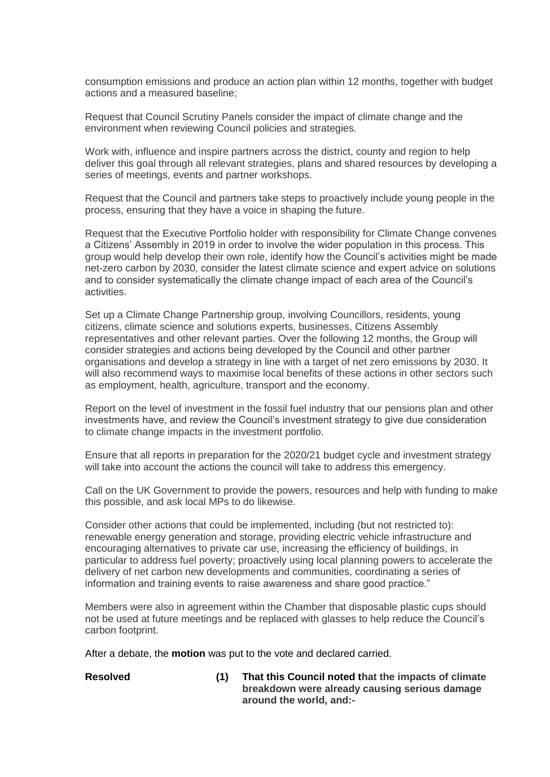consumption emissions and produce an action plan within 12 months, together with budget actions and a measured baseline;

Request that Council Scrutiny Panels consider the impact of climate change and the environment when reviewing Council policies and strategies.

Work with, influence and inspire partners across the district, county and region to help deliver this goal through all relevant strategies, plans and shared resources by developing a series of meetings, events and partner workshops.

Request that the Council and partners take steps to proactively include young people in the process, ensuring that they have a voice in shaping the future.

Request that the Executive Portfolio holder with responsibility for Climate Change convenes a Citizens' Assembly in 2019 in order to involve the wider population in this process. This group would help develop their own role, identify how the Council's activities might be made net-zero carbon by 2030, consider the latest climate science and expert advice on solutions and to consider systematically the climate change impact of each area of the Council's activities.

Set up a Climate Change Partnership group, involving Councillors, residents, young citizens, climate science and solutions experts, businesses, Citizens Assembly representatives and other relevant parties. Over the following 12 months, the Group will consider strategies and actions being developed by the Council and other partner organisations and develop a strategy in line with a target of net zero emissions by 2030. It will also recommend ways to maximise local benefits of these actions in other sectors such as employment, health, agriculture, transport and the economy.

Report on the level of investment in the fossil fuel industry that our pensions plan and other investments have, and review the Council's investment strategy to give due consideration to climate change impacts in the investment portfolio.

Ensure that all reports in preparation for the 2020/21 budget cycle and investment strategy will take into account the actions the council will take to address this emergency.

Call on the UK Government to provide the powers, resources and help with funding to make this possible, and ask local MPs to do likewise.

Consider other actions that could be implemented, including (but not restricted to): renewable energy generation and storage, providing electric vehicle infrastructure and encouraging alternatives to private car use, increasing the efficiency of buildings, in particular to address fuel poverty; proactively using local planning powers to accelerate the delivery of net carbon new developments and communities, coordinating a series of information and training events to raise awareness and share good practice."

Members were also in agreement within the Chamber that disposable plastic cups should not be used at future meetings and be replaced with glasses to help reduce the Council's carbon footprint.

After a debate, the **motion** was put to the vote and declared carried.

**Resolved (1) That this Council noted that the impacts of climate breakdown were already causing serious damage around the world, and:-**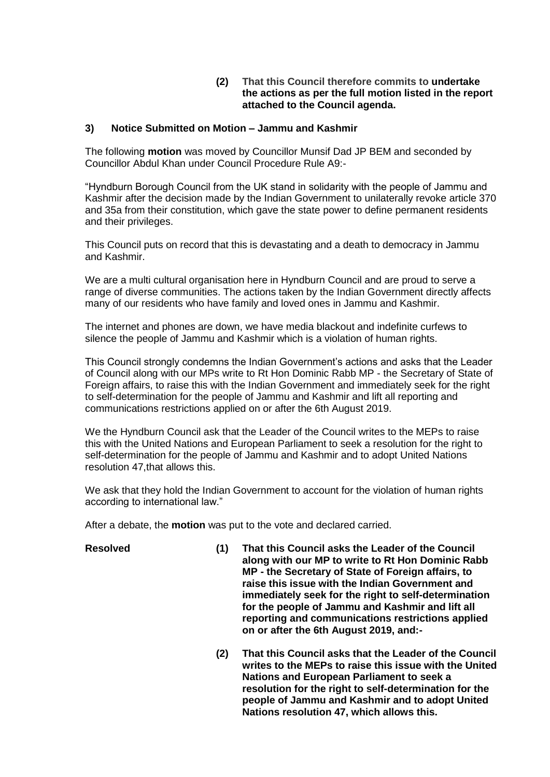# **(2) That this Council therefore commits to undertake the actions as per the full motion listed in the report attached to the Council agenda.**

# **3) Notice Submitted on Motion – Jammu and Kashmir**

The following **motion** was moved by Councillor Munsif Dad JP BEM and seconded by Councillor Abdul Khan under Council Procedure Rule A9:-

"Hyndburn Borough Council from the UK stand in solidarity with the people of Jammu and Kashmir after the decision made by the Indian Government to unilaterally revoke article 370 and 35a from their constitution, which gave the state power to define permanent residents and their privileges.

This Council puts on record that this is devastating and a death to democracy in Jammu and Kashmir.

We are a multi cultural organisation here in Hyndburn Council and are proud to serve a range of diverse communities. The actions taken by the Indian Government directly affects many of our residents who have family and loved ones in Jammu and Kashmir.

The internet and phones are down, we have media blackout and indefinite curfews to silence the people of Jammu and Kashmir which is a violation of human rights.

This Council strongly condemns the Indian Government's actions and asks that the Leader of Council along with our MPs write to Rt Hon Dominic Rabb MP - the Secretary of State of Foreign affairs, to raise this with the Indian Government and immediately seek for the right to self-determination for the people of Jammu and Kashmir and lift all reporting and communications restrictions applied on or after the 6th August 2019.

We the Hyndburn Council ask that the Leader of the Council writes to the MEPs to raise this with the United Nations and European Parliament to seek a resolution for the right to self-determination for the people of Jammu and Kashmir and to adopt United Nations resolution 47,that allows this.

We ask that they hold the Indian Government to account for the violation of human rights according to international law."

After a debate, the **motion** was put to the vote and declared carried.

- **Resolved (1) That this Council asks the Leader of the Council along with our MP to write to Rt Hon Dominic Rabb MP - the Secretary of State of Foreign affairs, to raise this issue with the Indian Government and immediately seek for the right to self-determination for the people of Jammu and Kashmir and lift all reporting and communications restrictions applied on or after the 6th August 2019, and:-**
	- **(2) That this Council asks that the Leader of the Council writes to the MEPs to raise this issue with the United Nations and European Parliament to seek a resolution for the right to self-determination for the people of Jammu and Kashmir and to adopt United Nations resolution 47, which allows this.**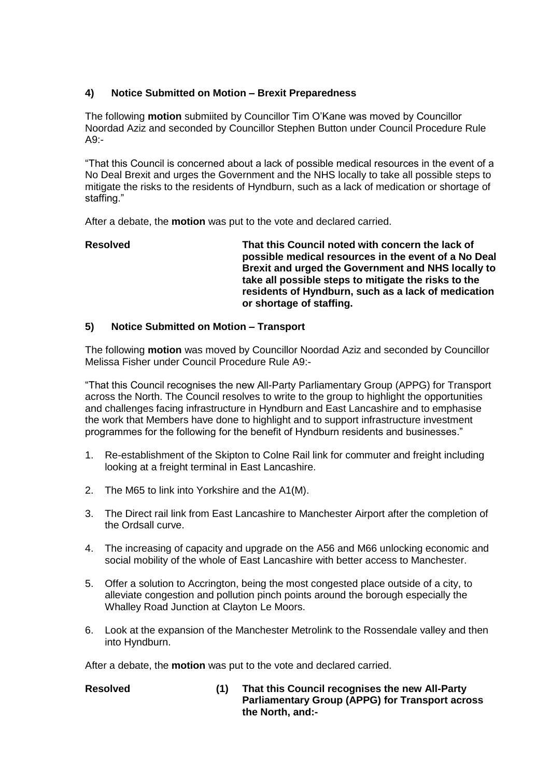# **4) Notice Submitted on Motion – Brexit Preparedness**

The following **motion** submiited by Councillor Tim O'Kane was moved by Councillor Noordad Aziz and seconded by Councillor Stephen Button under Council Procedure Rule  $A9 -$ 

"That this Council is concerned about a lack of possible medical resources in the event of a No Deal Brexit and urges the Government and the NHS locally to take all possible steps to mitigate the risks to the residents of Hyndburn, such as a lack of medication or shortage of staffing."

After a debate, the **motion** was put to the vote and declared carried.

# **Resolved That this Council noted with concern the lack of possible medical resources in the event of a No Deal Brexit and urged the Government and NHS locally to take all possible steps to mitigate the risks to the residents of Hyndburn, such as a lack of medication or shortage of staffing.**

# **5) Notice Submitted on Motion – Transport**

The following **motion** was moved by Councillor Noordad Aziz and seconded by Councillor Melissa Fisher under Council Procedure Rule A9:-

"That this Council recognises the new All-Party Parliamentary Group (APPG) for Transport across the North. The Council resolves to write to the group to highlight the opportunities and challenges facing infrastructure in Hyndburn and East Lancashire and to emphasise the work that Members have done to highlight and to support infrastructure investment programmes for the following for the benefit of Hyndburn residents and businesses."

- 1. Re-establishment of the Skipton to Colne Rail link for commuter and freight including looking at a freight terminal in East Lancashire.
- 2. The M65 to link into Yorkshire and the A1(M).
- 3. The Direct rail link from East Lancashire to Manchester Airport after the completion of the Ordsall curve.
- 4. The increasing of capacity and upgrade on the A56 and M66 unlocking economic and social mobility of the whole of East Lancashire with better access to Manchester.
- 5. Offer a solution to Accrington, being the most congested place outside of a city, to alleviate congestion and pollution pinch points around the borough especially the Whalley Road Junction at Clayton Le Moors.
- 6. Look at the expansion of the Manchester Metrolink to the Rossendale valley and then into Hyndburn.

After a debate, the **motion** was put to the vote and declared carried.

**Resolved (1) That this Council recognises the new All-Party Parliamentary Group (APPG) for Transport across the North, and:-**